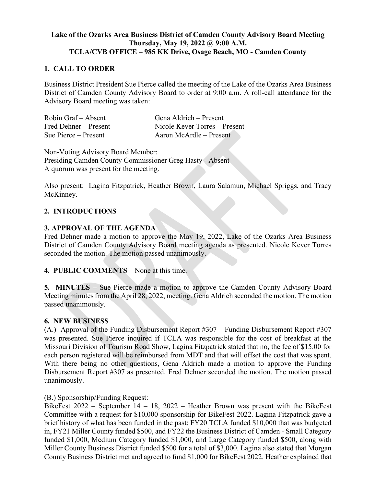# **Lake of the Ozarks Area Business District of Camden County Advisory Board Meeting Thursday, May 19, 2022 @ 9:00 A.M. TCLA/CVB OFFICE – 985 KK Drive, Osage Beach, MO - Camden County**

## **1. CALL TO ORDER**

Business District President Sue Pierce called the meeting of the Lake of the Ozarks Area Business District of Camden County Advisory Board to order at 9:00 a.m. A roll-call attendance for the Advisory Board meeting was taken:

| Robin Graf – Absent   | Gena Aldrich – Present        |
|-----------------------|-------------------------------|
| Fred Dehner – Present | Nicole Kever Torres – Present |
| Sue Pierce – Present  | Aaron McArdle – Present       |

Non-Voting Advisory Board Member:

Presiding Camden County Commissioner Greg Hasty - Absent A quorum was present for the meeting.

Also present: Lagina Fitzpatrick, Heather Brown, Laura Salamun, Michael Spriggs, and Tracy McKinney.

# **2. INTRODUCTIONS**

## **3. APPROVAL OF THE AGENDA**

Fred Dehner made a motion to approve the May 19, 2022, Lake of the Ozarks Area Business District of Camden County Advisory Board meeting agenda as presented. Nicole Kever Torres seconded the motion. The motion passed unanimously.

## **4. PUBLIC COMMENTS** – None at this time.

**5. MINUTES –** Sue Pierce made a motion to approve the Camden County Advisory Board Meeting minutes from the April 28, 2022, meeting. Gena Aldrich seconded the motion. The motion passed unanimously.

## **6. NEW BUSINESS**

(A.) Approval of the Funding Disbursement Report #307 – Funding Disbursement Report #307 was presented. Sue Pierce inquired if TCLA was responsible for the cost of breakfast at the Missouri Division of Tourism Road Show, Lagina Fitzpatrick stated that no, the fee of \$15.00 for each person registered will be reimbursed from MDT and that will offset the cost that was spent. With there being no other questions, Gena Aldrich made a motion to approve the Funding Disbursement Report #307 as presented. Fred Dehner seconded the motion. The motion passed unanimously.

(B.) Sponsorship/Funding Request:

BikeFest 2022 – September 14 – 18, 2022 – Heather Brown was present with the BikeFest Committee with a request for \$10,000 sponsorship for BikeFest 2022. Lagina Fitzpatrick gave a brief history of what has been funded in the past; FY20 TCLA funded \$10,000 that was budgeted in, FY21 Miller County funded \$500, and FY22 the Business District of Camden - Small Category funded \$1,000, Medium Category funded \$1,000, and Large Category funded \$500, along with Miller County Business District funded \$500 for a total of \$3,000. Lagina also stated that Morgan County Business District met and agreed to fund \$1,000 for BikeFest 2022. Heather explained that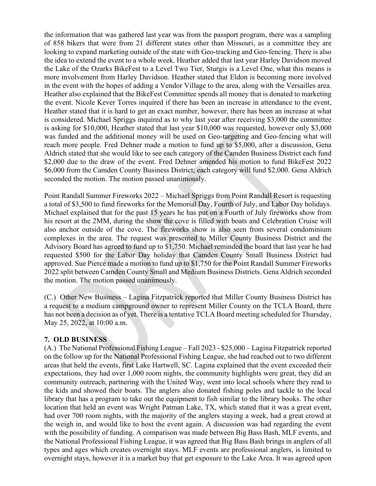the information that was gathered last year was from the passport program, there was a sampling of 858 bikers that were from 21 different states other than Missouri, as a committee they are looking to expand marketing outside of the state with Geo-tracking and Geo-fencing. There is also the idea to extend the event to a whole week. Heather added that last year Harley Davidson moved the Lake of the Ozarks BikeFest to a Level Two Tier, Sturgis is a Level One, what this means is more involvement from Harley Davidson. Heather stated that Eldon is becoming more involved in the event with the hopes of adding a Vendor Village to the area, along with the Versailles area. Heather also explained that the BikeFest Committee spends all money that is donated to marketing the event. Nicole Kever Torres inquired if there has been an increase in attendance to the event, Heather stated that it is hard to get an exact number, however, there has been an increase at what is considered. Michael Spriggs inquired as to why last year after receiving \$3,000 the committee is asking for \$10,000, Heather stated that last year \$10,000 was requested, however only \$3,000 was funded and the additional money will be used on Geo-targeting and Geo-fencing what will reach more people. Fred Dehner made a motion to fund up to \$5,000, after a discussion, Gena Aldrich stated that she would like to see each category of the Camden Business District each fund \$2,000 due to the draw of the event. Fred Dehner amended his motion to fund BikeFest 2022 \$6,000 from the Camden County Business District; each category will fund \$2,000. Gena Aldrich seconded the motion. The motion passed unanimously.

Point Randall Summer Fireworks 2022 – Michael Spriggs from Point Randall Resort is requesting a total of \$3,500 to fund fireworks for the Memorial Day, Fourth of July, and Labor Day holidays. Michael explained that for the past 15 years he has put on a Fourth of July fireworks show from his resort at the 2MM, during the show the cove is filled with boats and Celebration Cruise will also anchor outside of the cove. The fireworks show is also seen from several condominium complexes in the area. The request was presented to Miller County Business District and the Advisory Board has agreed to fund up to \$1,750. Michael reminded the board that last year he had requested \$500 for the Labor Day holiday that Camden County Small Business District had approved. Sue Pierce made a motion to fund up to \$1,750 for the Point Randall Summer Fireworks 2022 split between Camden County Small and Medium Business Districts. Gena Aldrich seconded the motion. The motion passed unanimously.

(C.) Other New Business – Lagina Fitzpatrick reported that Miller County Business District has a request to a medium campground owner to represent Miller County on the TCLA Board, there has not been a decision as of yet. There is a tentative TCLA Board meeting scheduled for Thursday, May 25, 2022, at 10:00 a.m.

#### **7. OLD BUSINESS**

(A.) The National Professional Fishing League – Fall 2023 - \$25,000 – Lagina Fitzpatrick reported on the follow up for the National Professional Fishing League, she had reached out to two different areas that held the events, first Lake Hartwell, SC. Lagina explained that the event exceeded their expectations, they had over 1,000 room nights, the community highlights were great, they did an community outreach, partnering with the United Way, went into local schools where they read to the kids and showed their boats. The anglers also donated fishing poles and tackle to the local library that has a program to take out the equipment to fish similar to the library books. The other location that held an event was Wright Patman Lake, TX, which stated that it was a great event, had over 700 room nights, with the majority of the anglers staying a week, had a great crowd at the weigh in, and would like to host the event again. A discussion was had regarding the event with the possibility of funding. A comparison was made between Big Bass Bash, MLF events, and the National Professional Fishing League, it was agreed that Big Bass Bash brings in anglers of all types and ages which creates overnight stays. MLF events are professional anglers, is limited to overnight stays, however it is a market buy that get exposure to the Lake Area. It was agreed upon